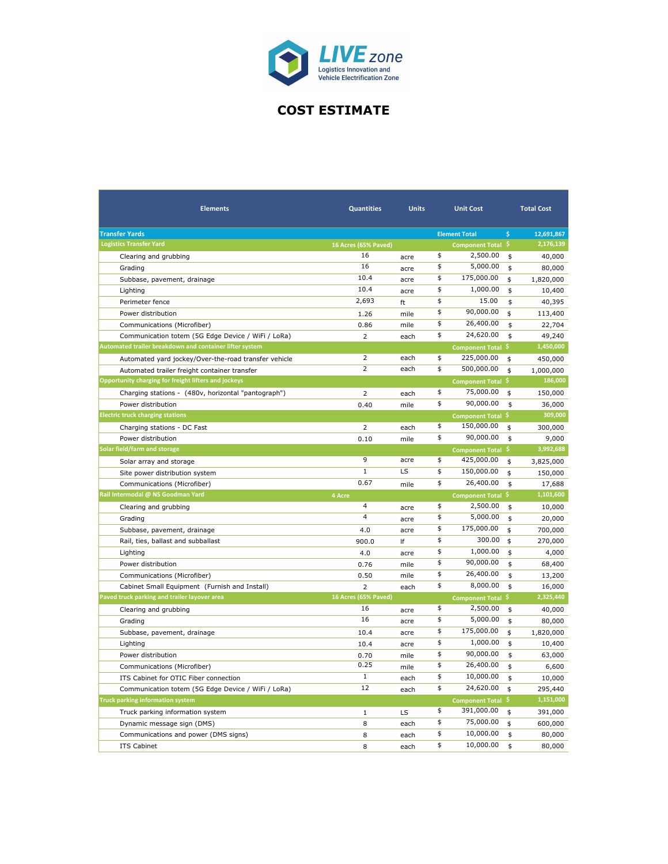

## **COST ESTIMATE**

| <b>Elements</b>                                         | <b>Quantities</b>       | <b>Units</b> | <b>Unit Cost</b>          |                              |                    | <b>Total Cost</b> |  |
|---------------------------------------------------------|-------------------------|--------------|---------------------------|------------------------------|--------------------|-------------------|--|
| <b>Transfer Yards</b>                                   |                         |              |                           | <b>Element Total</b>         | $\mathsf{\hat{S}}$ | 12,691,867        |  |
| <b>Logistics Transfer Yard</b>                          | 16 Acres (65% Paved)    |              |                           | Component Total <sup>S</sup> |                    | 2,176,139         |  |
| Clearing and grubbing                                   | 16                      | acre         | \$                        | 2,500.00                     | \$                 | 40,000            |  |
| Grading                                                 | 16                      | acre         | \$                        | 5,000.00                     | \$                 | 80,000            |  |
| Subbase, pavement, drainage                             | 10.4                    | acre         | \$                        | 175,000.00                   | \$                 | 1,820,000         |  |
| Lighting                                                | 10.4                    | acre         | \$                        | 1,000.00                     | \$                 | 10,400            |  |
| Perimeter fence                                         | 2,693                   | ft           | \$                        | 15.00                        | \$                 | 40,395            |  |
| Power distribution                                      | 1.26                    | mile         | \$                        | 90,000.00                    | \$                 | 113,400           |  |
| Communications (Microfiber)                             | 0.86                    | mile         | \$                        | 26,400.00                    | \$                 | 22,704            |  |
| Communication totem (5G Edge Device / WiFi / LoRa)      | $\overline{2}$          | each         | \$                        | 24,620.00                    | \$                 | 49,240            |  |
| Automated trailer breakdown and container lifter system |                         |              |                           | Component Total \$           |                    | 1,450,000         |  |
| Automated yard jockey/Over-the-road transfer vehicle    | $\overline{2}$          | each         | \$                        | 225,000.00                   | \$                 | 450,000           |  |
| Automated trailer freight container transfer            | $\overline{2}$          | each         | $\overline{\mathfrak{s}}$ | 500,000.00                   | \$                 | 1,000,000         |  |
| Opportunity charging for freight lifters and jockeys    |                         |              |                           | Component Total \$           |                    | 186,000           |  |
| Charging stations - (480v, horizontal "pantograph")     | $\overline{2}$          | each         | \$                        | 75,000.00                    | \$                 | 150,000           |  |
| Power distribution                                      | 0.40                    | mile         | \$                        | 90,000.00                    | \$                 | 36,000            |  |
| <b>Electric truck charging stations</b>                 |                         |              |                           | Component Total \$           |                    | 309,000           |  |
| Charging stations - DC Fast                             | $\overline{2}$          | each         | \$                        | 150,000.00                   | \$                 | 300,000           |  |
| Power distribution                                      | 0.10                    | mile         | \$                        | 90,000.00                    | \$                 | 9,000             |  |
| Solar field/farm and storage                            |                         |              |                           | <b>Component Total</b>       | -\$                | 3,992,688         |  |
| Solar array and storage                                 | 9                       | acre         | \$                        | 425,000.00                   | \$                 | 3,825,000         |  |
| Site power distribution system                          | $\mathbf 1$             | LS           | \$                        | 150,000.00                   | \$                 | 150,000           |  |
| Communications (Microfiber)                             | 0.67                    | mile         | \$                        | 26,400.00                    | \$                 | 17,688            |  |
| Rail Intermodal @ NS Goodman Yard                       | 4 Acre                  |              |                           | Component Total \$           |                    | 1,101,600         |  |
| Clearing and grubbing                                   | $\overline{4}$          | acre         | \$                        | 2,500.00                     | \$                 | 10,000            |  |
| Grading                                                 | $\overline{\mathbf{4}}$ | acre         | \$                        | 5,000.00                     | \$                 | 20,000            |  |
| Subbase, pavement, drainage                             | 4.0                     | acre         | \$                        | 175,000.00                   | \$                 | 700,000           |  |
| Rail, ties, ballast and subballast                      | 900.0                   | If           | \$                        | 300.00                       | \$                 | 270,000           |  |
| Lighting                                                | 4.0                     | acre         | \$                        | 1,000.00                     | \$                 | 4,000             |  |
| Power distribution                                      | 0.76                    | mile         | \$                        | 90,000.00                    | \$                 | 68,400            |  |
| Communications (Microfiber)                             | 0.50                    | mile         | \$                        | 26,400.00                    | \$                 | 13,200            |  |
| Cabinet Small Equipment (Furnish and Install)           | $\overline{2}$          | each         | \$                        | 8,000.00                     | \$                 | 16,000            |  |
| Paved truck parking and trailer layover area            | 16 Acres (65% Paved)    |              |                           | <b>Component Total</b>       | -\$                | 2,325,440         |  |
| Clearing and grubbing                                   | 16                      | acre         | \$                        | 2,500.00                     | \$                 | 40,000            |  |
| Grading                                                 | 16                      | acre         | \$                        | 5,000.00                     | \$                 | 80,000            |  |
| Subbase, pavement, drainage                             | 10.4                    | acre         | \$                        | 175,000.00                   | \$                 | 1,820,000         |  |
| Lighting                                                | 10.4                    | acre         | \$                        | 1,000.00                     | \$                 | 10,400            |  |
| Power distribution                                      | 0.70                    | mile         | \$                        | 90,000.00                    | \$                 | 63,000            |  |
| Communications (Microfiber)                             | 0.25                    | mile         | \$                        | 26,400.00                    | \$                 | 6,600             |  |
| ITS Cabinet for OTIC Fiber connection                   | $\mathbf 1$             | each         | \$                        | 10,000.00                    | \$                 | 10,000            |  |
| Communication totem (5G Edge Device / WiFi / LoRa)      | 12                      | each         | \$                        | 24,620.00                    | \$                 | 295,440           |  |
| <b>Truck parking information system</b>                 |                         |              |                           | <b>Component Total</b>       | \$                 | 1,151,000         |  |
| Truck parking information system                        | $\mathbf{1}$            | LS           | \$                        | 391,000.00                   | \$                 | 391,000           |  |
| Dynamic message sign (DMS)                              | 8                       | each         | \$                        | 75,000.00                    | \$                 | 600,000           |  |
| Communications and power (DMS signs)                    | 8                       | each         | \$                        | 10,000.00                    | \$                 | 80,000            |  |
| <b>ITS Cabinet</b>                                      | 8                       | each         | \$                        | 10,000.00                    | \$                 | 80,000            |  |